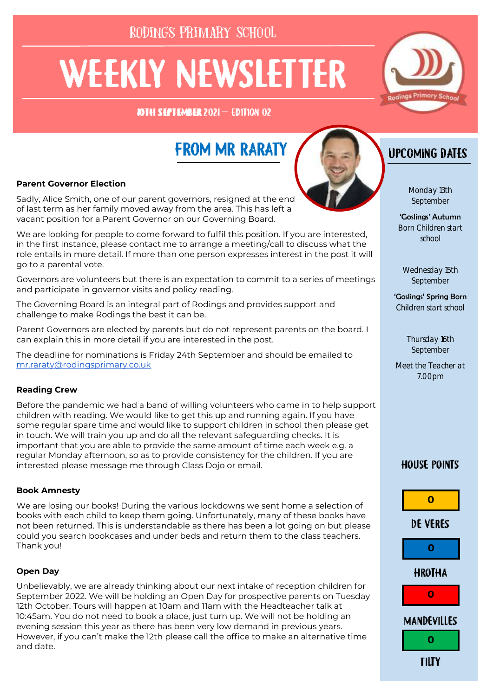RODINGS PRIMARY SCHOOL

# **WEEKLY NEWSLETTER**

**JOTH SEPTEMBER 2021- EDITION 02** 

## **FROM MR RARATY**

#### **Parent Governor Election**

Sadly, Alice Smith, one of our parent governors, resigned at the end of last term as her family moved away from the area. This has left a vacant position for a Parent Governor on our Governing Board.

We are looking for people to come forward to fulfil this position. If you are interested, in the first instance, please contact me to arrange a meeting/call to discuss what the role entails in more detail. If more than one person expresses interest in the post it will go to a parental vote.

Governors are volunteers but there is an expectation to commit to a series of meetings and participate in governor visits and policy reading.

The Governing Board is an integral part of Rodings and provides support and challenge to make Rodings the best it can be.

Parent Governors are elected by parents but do not represent parents on the board. I can explain this in more detail if you are interested in the post.

The deadline for nominations is Friday 24th September and should be emailed to [mr.raraty@rodingsprimary.co.uk](mailto:mr.raraty@rodingsprimary.co.uk)

#### **Reading Crew**

Before the pandemic we had a band of willing volunteers who came in to help support children with reading. We would like to get this up and running again. If you have some regular spare time and would like to support children in school then please get in touch. We will train you up and do all the relevant safeguarding checks. It is important that you are able to provide the same amount of time each week e.g. a regular Monday afternoon, so as to provide consistency for the children. If you are interested please message me through Class Dojo or email.

#### **Book Amnesty**

We are losing our books! During the various lockdowns we sent home a selection of books with each child to keep them going. Unfortunately, many of these books have not been returned. This is understandable as there has been a lot going on but please could you search bookcases and under beds and return them to the class teachers. Thank you!

#### **Open Day**

Unbelievably, we are already thinking about our next intake of reception children for September 2022. We will be holding an Open Day for prospective parents on Tuesday 12th October. Tours will happen at 10am and 11am with the Headteacher talk at 10:45am. You do not need to book a place, just turn up. We will not be holding an evening session this year as there has been very low demand in previous years. However, if you can't make the 12th please call the office to make an alternative time and date.

## **UPCOMING DATES**

Monday 13th September

'Goslings' Autumn Born Children start school

Wednesday 15th September

'Goslings' Spring Born Children start school

> Thursday 16th September

Meet the Teacher at 7.00pm

#### **HOUSE POINTS**



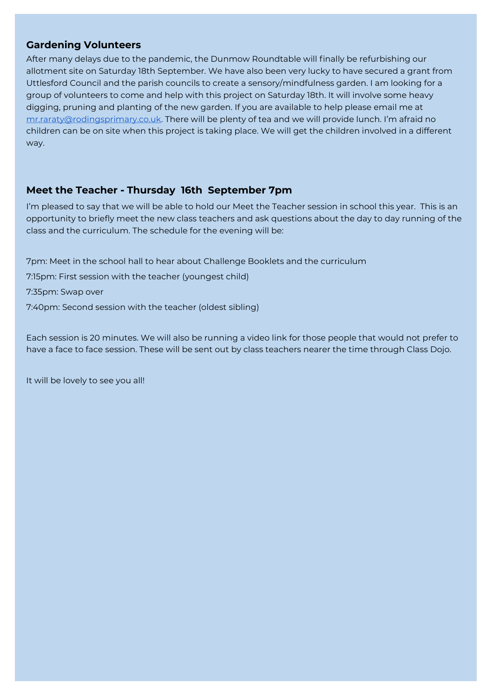#### **Gardening Volunteers**

After many delays due to the pandemic, the Dunmow Roundtable will finally be refurbishing our allotment site on Saturday 18th September. We have also been very lucky to have secured a grant from Uttlesford Council and the parish councils to create a sensory/mindfulness garden. I am looking for a group of volunteers to come and help with this project on Saturday 18th. It will involve some heavy digging, pruning and planting of the new garden. If you are available to help please email me at [mr.raraty@rodingsprimary.co.uk.](mailto:mr.raraty@rodingsprimary.co.uk) There will be plenty of tea and we will provide lunch. I'm afraid no children can be on site when this project is taking place. We will get the children involved in a different way.

#### **Meet the Teacher - Thursday 16th September 7pm**

I'm pleased to say that we will be able to hold our Meet the Teacher session in school this year. This is an opportunity to briefly meet the new class teachers and ask questions about the day to day running of the class and the curriculum. The schedule for the evening will be:

7pm: Meet in the school hall to hear about Challenge Booklets and the curriculum

7:15pm: First session with the teacher (youngest child)

7:35pm: Swap over

7:40pm: Second session with the teacher (oldest sibling)

Each session is 20 minutes. We will also be running a video link for those people that would not prefer to have a face to face session. These will be sent out by class teachers nearer the time through Class Dojo.

It will be lovely to see you all!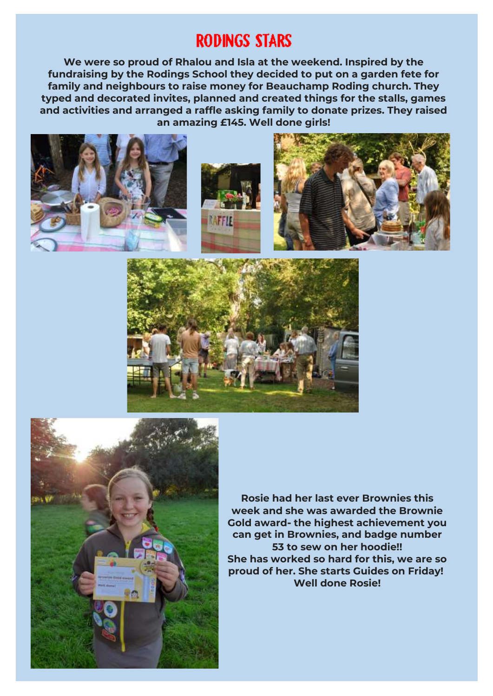## **RODINGS STARS**

**We were so proud of Rhalou and Isla at the weekend. Inspired by the fundraising by the Rodings School they decided to put on a garden fete for family and neighbours to raise money for Beauchamp Roding church. They typed and decorated invites, planned and created things for the stalls, games and activities and arranged a raffle asking family to donate prizes. They raised an amazing £145. Well done girls!**







**Rosie had her last ever Brownies this week and she was awarded the Brownie Gold award- the highest achievement you can get in Brownies, and badge number 53 to sew on her hoodie!! She has worked so hard for this, we are so proud of her. She starts Guides on Friday! Well done Rosie!**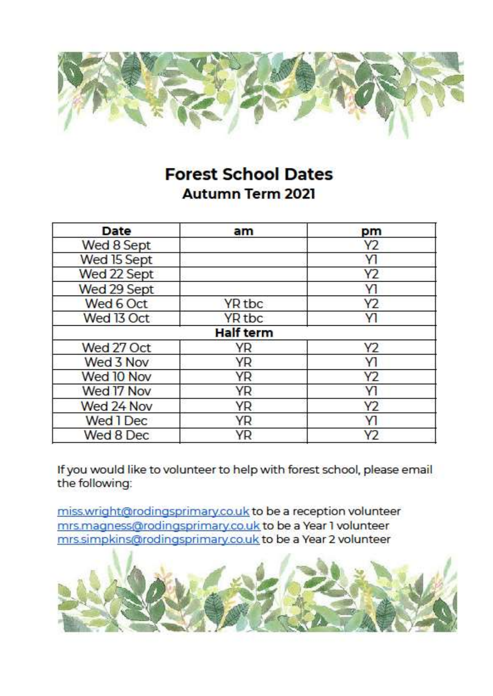

## **Forest School Dates Autumn Term 2021**

| Date        | am               | pm             |
|-------------|------------------|----------------|
| Wed 8 Sept  |                  | Y2             |
| Wed 15 Sept |                  | YI             |
| Wed 22 Sept |                  | Y2             |
| Wed 29 Sept |                  | Y1             |
| Wed 6 Oct   | YR tbc           | Y2             |
| Wed 13 Oct  | YR tbc           | <b>Y1</b>      |
|             | <b>Half term</b> |                |
| Wed 27 Oct  | YR               | Y <sub>2</sub> |
| Wed 3 Nov   | YR               | Y1             |
| Wed 10 Nov  | YR               | Y2             |
| Wed 17 Nov  | YR               | Y1             |
| Wed 24 Nov  | YR               | Y2             |
| Wed 1 Dec   | YR               | Y1             |
| Wed 8 Dec   | ΥR               | Y <sub>2</sub> |

If you would like to volunteer to help with forest school, please email the following:

miss.wright@rodingsprimary.co.uk to be a reception volunteer mrs.magness@rodingsprimary.co.uk to be a Year 1 volunteer mrs.simpkins@rodingsprimary.co.uk to be a Year 2 volunteer